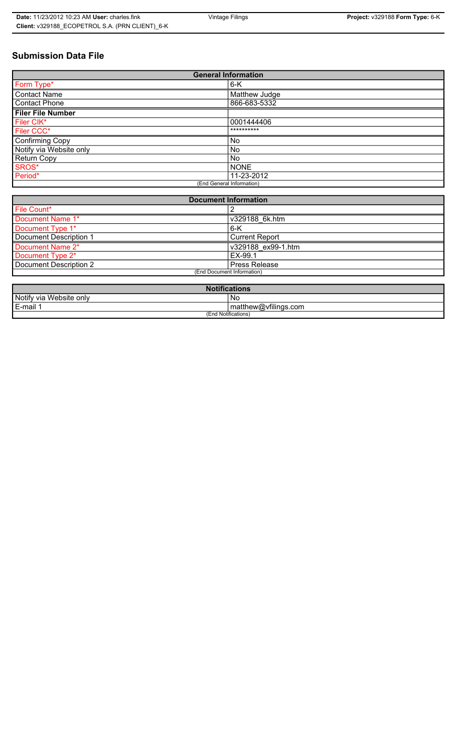# **Submission Data File**

| <b>General Information</b> |               |
|----------------------------|---------------|
| Form Type*                 | $6-K$         |
| <b>Contact Name</b>        | Matthew Judge |
| <b>Contact Phone</b>       | 866-683-5332  |
| <b>Filer File Number</b>   |               |
| Filer CIK*                 | 0001444406    |
| Filer CCC*                 | **********    |
| <b>Confirming Copy</b>     | No            |
| Notify via Website only    | No.           |
| <b>Return Copy</b>         | No.           |
| SROS*                      | <b>NONE</b>   |
| Period*                    | 11-23-2012    |
| (End General Information)  |               |

| <b>Document Information</b> |                       |
|-----------------------------|-----------------------|
| File Count*                 |                       |
| Document Name 1*            | v329188 6k.htm        |
| Document Type 1*            | $6 - K$               |
| Document Description 1      | <b>Current Report</b> |
| Document Name 2*            | v329188 ex99-1.htm    |
| Document Type 2*            | EX-99.1               |
| Document Description 2      | Press Release         |
| (End Document Information)  |                       |
|                             |                       |

| <b>Notifications</b>    |                      |
|-------------------------|----------------------|
| Notify via Website only | No                   |
| E-mail <sup>1</sup>     | matthew@vfilings.com |
| (End Notifications)     |                      |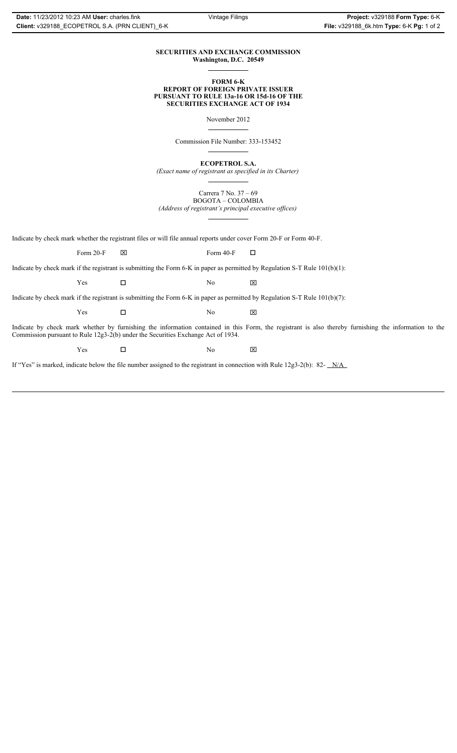#### **SECURITIES AND EXCHANGE COMMISSION Washington, D.C. 20549**

#### **FORM 6-K REPORT OF FOREIGN PRIVATE ISSUER PURSUANT TO RULE 13a-16 OR 15d-16 OF THE SECURITIES EXCHANGE ACT OF 1934**

November 2012

Commission File Number: 333-153452

**ECOPETROL S.A.**

*(Exact name of registrant as specified in its Charter)*

Carrera 7 No. 37 – 69 BOGOTA – COLOMBIA

*(Address of registrant's principal executive offices)*

Indicate by check mark whether the registrant files or will file annual reports under cover Form 20-F or Form 40-F.

Form 20-F  $\boxtimes$  Form 40-F  $\Box$ 

Indicate by check mark if the registrant is submitting the Form 6-K in paper as permitted by Regulation S-T Rule 101(b)(1):

 $Yes$   $\Box$   $No$   $X$ 

Indicate by check mark if the registrant is submitting the Form 6-K in paper as permitted by Regulation S-T Rule 101(b)(7):

 $Yes$   $\Box$   $No$   $X$ 

Indicate by check mark whether by furnishing the information contained in this Form, the registrant is also thereby furnishing the information to the Commission pursuant to Rule 12g3-2(b) under the Securities Exchange Act of 1934.

 $Yes$   $\square$ 

If "Yes" is marked, indicate below the file number assigned to the registrant in connection with Rule 12g3-2(b): 82- N/A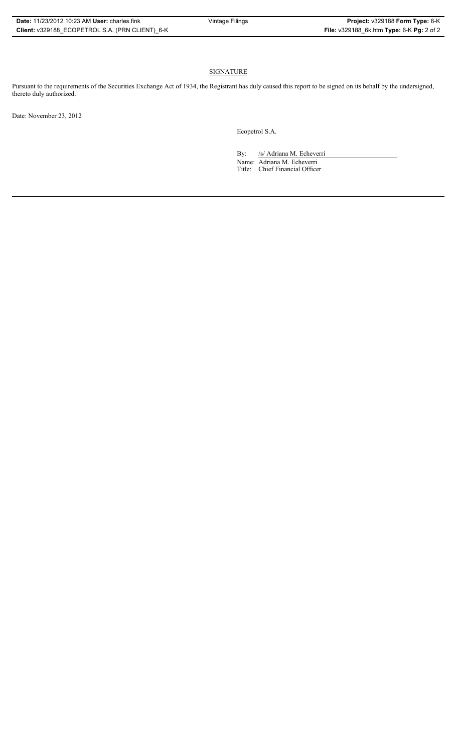## SIGNATURE

Pursuant to the requirements of the Securities Exchange Act of 1934, the Registrant has duly caused this report to be signed on its behalf by the undersigned, thereto duly authorized.

Date: November 23, 2012

Ecopetrol S.A.

By: /s/ Adriana M. Echeverri Name: Adriana M. Echeverri Title: Chief Financial Officer